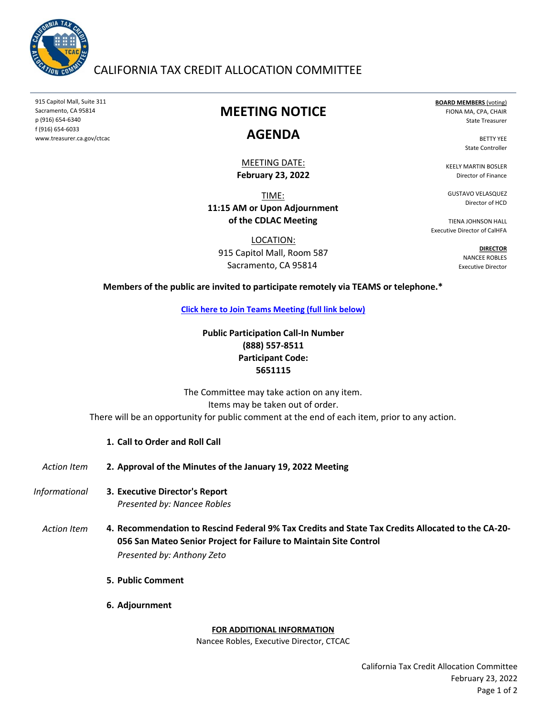

## CALIFORNIA TAX CREDIT ALLOCATION COMMITTEE

915 Capitol Mall, Suite 311 Sacramento, CA 95814 p (916) 654-6340 f (916) 654-6033 www.treasurer.ca.gov/ctcac

# **MEETING NOTICE**

## **AGENDA**

#### **February 23, 2022** MEETING DATE:

TIME: **11:15 AM or Upon Adjournment of the CDLAC Meeting**

LOCATION: 915 Capitol Mall, Room 587 Sacramento, CA 95814

**BOARD MEMBERS** (voting) FIONA MA, CPA, CHAIR State Treasurer

> BETTY YEE State Controller

KEELY MARTIN BOSLER Director of Finance

GUSTAVO VELASQUEZ Director of HCD

TIENA JOHNSON HALL Executive Director of CalHFA

> **DIRECTOR** NANCEE ROBLES Executive Director

#### **Members of the public are invited to participate remotely via TEAMS or telephone.\***

**[Click here to Join Teams Meeting \(full link below\)](https://teams.microsoft.com/l/meetup-join/19%3ameeting_ZTU4NDU3YTctZmU0Yy00OWY4LTg1YzktOGFiNmFmNTI2ODE5%40thread.v2/0?context=%7b%22Tid%22%3a%223bee5c8a-6cb4-4c10-a77b-cd2eaeb7534e%22%2c%22Oid%22%3a%226f508fe0-4cf8-4f2f-9e3d-4a9f8e1c293f%22%7d)**

## **Public Participation Call-In Number (888) 557-8511 Participant Code: 5651115**

The Committee may take action on any item. Items may be taken out of order. There will be an opportunity for public comment at the end of each item, prior to any action.

### **1. Call to Order and Roll Call**

- *Action Item* **2. Approval of the Minutes of the January 19, 2022 Meeting**
- *Informational* **3.** *Presented by: Nancee Robles* **Executive Director's Report**
	- *Action Item* **4. Recommendation to Rescind Federal 9% Tax Credits and State Tax Credits Allocated to the CA-20- 056 San Mateo Senior Project for Failure to Maintain Site Control**  *Presented by: Anthony Zeto*
		- **5. Public Comment**
		- **6. Adjournment**

#### **FOR ADDITIONAL INFORMATION**

Nancee Robles, Executive Director, CTCAC